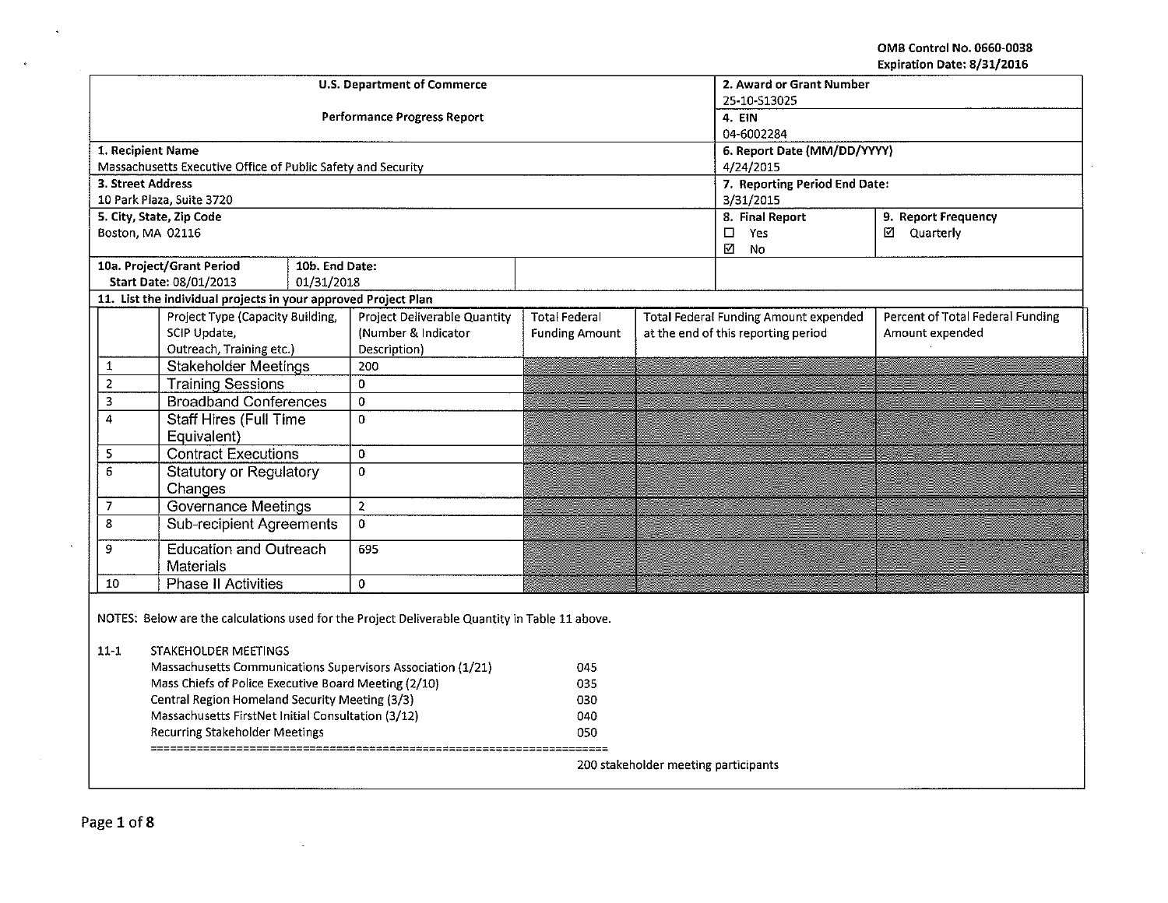OMB Control No. 0660·0038 Expiration Date: 8/31/2016

 $\sim$ 

|                   |                                                                                                                                                                                                                                                                                                                                                       |                                    |                             |                               |                                              | Expiration Date: 8/31/2016       |  |
|-------------------|-------------------------------------------------------------------------------------------------------------------------------------------------------------------------------------------------------------------------------------------------------------------------------------------------------------------------------------------------------|------------------------------------|-----------------------------|-------------------------------|----------------------------------------------|----------------------------------|--|
|                   | <b>U.S. Department of Commerce</b>                                                                                                                                                                                                                                                                                                                    |                                    | 2. Award or Grant Number    |                               |                                              |                                  |  |
|                   |                                                                                                                                                                                                                                                                                                                                                       |                                    | 25-10-S13025                |                               |                                              |                                  |  |
|                   |                                                                                                                                                                                                                                                                                                                                                       | <b>Performance Progress Report</b> |                             |                               | 4. EIN                                       |                                  |  |
|                   |                                                                                                                                                                                                                                                                                                                                                       |                                    |                             |                               | 04-6002284                                   |                                  |  |
|                   | 1. Recipient Name                                                                                                                                                                                                                                                                                                                                     |                                    | 6. Report Date (MM/DD/YYYY) |                               |                                              |                                  |  |
|                   | Massachusetts Executive Office of Public Safety and Security                                                                                                                                                                                                                                                                                          |                                    |                             |                               | 4/24/2015                                    |                                  |  |
| 3. Street Address |                                                                                                                                                                                                                                                                                                                                                       |                                    |                             | 7. Reporting Period End Date: |                                              |                                  |  |
|                   | 10 Park Plaza, Suite 3720                                                                                                                                                                                                                                                                                                                             |                                    |                             |                               | 3/31/2015                                    |                                  |  |
|                   | 5. City, State, Zip Code                                                                                                                                                                                                                                                                                                                              |                                    |                             |                               | 8. Final Report                              | 9. Report Frequency              |  |
|                   | Boston, MA 02116                                                                                                                                                                                                                                                                                                                                      |                                    |                             |                               | $\Box$<br>Yes<br>⊠<br>No                     | ☑ Quarterly                      |  |
|                   | 10a. Project/Grant Period<br>10b. End Date:                                                                                                                                                                                                                                                                                                           |                                    |                             |                               |                                              |                                  |  |
|                   | Start Date: 08/01/2013<br>01/31/2018                                                                                                                                                                                                                                                                                                                  |                                    |                             |                               |                                              |                                  |  |
|                   | 11. List the individual projects in your approved Project Plan                                                                                                                                                                                                                                                                                        |                                    |                             |                               |                                              |                                  |  |
|                   | Project Type (Capacity Building,                                                                                                                                                                                                                                                                                                                      | Project Deliverable Quantity       | <b>Total Federal</b>        |                               | <b>Total Federal Funding Amount expended</b> | Percent of Total Federal Funding |  |
|                   | SCIP Update,                                                                                                                                                                                                                                                                                                                                          | (Number & Indicator                | <b>Funding Amount</b>       |                               | at the end of this reporting period          | Amount expended                  |  |
|                   | Outreach, Training etc.)                                                                                                                                                                                                                                                                                                                              | Description)                       |                             |                               |                                              |                                  |  |
| $\mathbf{1}$      | <b>Stakeholder Meetings</b>                                                                                                                                                                                                                                                                                                                           | 200                                |                             |                               |                                              |                                  |  |
| $\overline{2}$    | <b>Training Sessions</b>                                                                                                                                                                                                                                                                                                                              | $\Omega$                           |                             |                               |                                              |                                  |  |
| 3                 | <b>Broadband Conferences</b>                                                                                                                                                                                                                                                                                                                          | $\overline{0}$                     |                             |                               |                                              |                                  |  |
| $\overline{4}$    | <b>Staff Hires (Full Time</b>                                                                                                                                                                                                                                                                                                                         | $\Omega$                           |                             |                               |                                              |                                  |  |
|                   | Equivalent)                                                                                                                                                                                                                                                                                                                                           |                                    |                             |                               |                                              |                                  |  |
| $\mathsf S$       | <b>Contract Executions</b>                                                                                                                                                                                                                                                                                                                            | $\mathbf 0$                        |                             |                               |                                              |                                  |  |
| 6                 | <b>Statutory or Regulatory</b>                                                                                                                                                                                                                                                                                                                        | $\mathbf 0$                        |                             |                               |                                              |                                  |  |
|                   | Changes                                                                                                                                                                                                                                                                                                                                               |                                    |                             |                               |                                              |                                  |  |
| $\overline{7}$    | <b>Governance Meetings</b>                                                                                                                                                                                                                                                                                                                            | $\overline{2}$                     |                             |                               |                                              |                                  |  |
| 8                 | <b>Sub-recipient Agreements</b>                                                                                                                                                                                                                                                                                                                       | $\overline{0}$                     |                             |                               |                                              |                                  |  |
| 9                 | <b>Education and Outreach</b>                                                                                                                                                                                                                                                                                                                         | 695                                |                             |                               |                                              |                                  |  |
|                   | Materials                                                                                                                                                                                                                                                                                                                                             |                                    |                             |                               |                                              |                                  |  |
| 10                | <b>Phase II Activities</b>                                                                                                                                                                                                                                                                                                                            | $\Omega$                           |                             |                               |                                              |                                  |  |
| $11 - 1$          | NOTES: Below are the calculations used for the Project Deliverable Quantity in Table 11 above.<br>STAKEHOLDER MEETINGS<br>Massachusetts Communications Supervisors Association (1/21)<br>Mass Chiefs of Police Executive Board Meeting (2/10)<br>Central Region Homeland Security Meeting (3/3)<br>Massachusetts FirstNet Initial Consultation (3/12) |                                    | 045<br>035<br>030<br>040    |                               |                                              |                                  |  |
|                   | Recurring Stakeholder Meetings                                                                                                                                                                                                                                                                                                                        |                                    | 050                         |                               |                                              |                                  |  |
|                   |                                                                                                                                                                                                                                                                                                                                                       |                                    |                             |                               | 200 stakeholder meeting participants         |                                  |  |

 $\sim$ 

 $\sim$ 

 $\sim$   $\epsilon$  .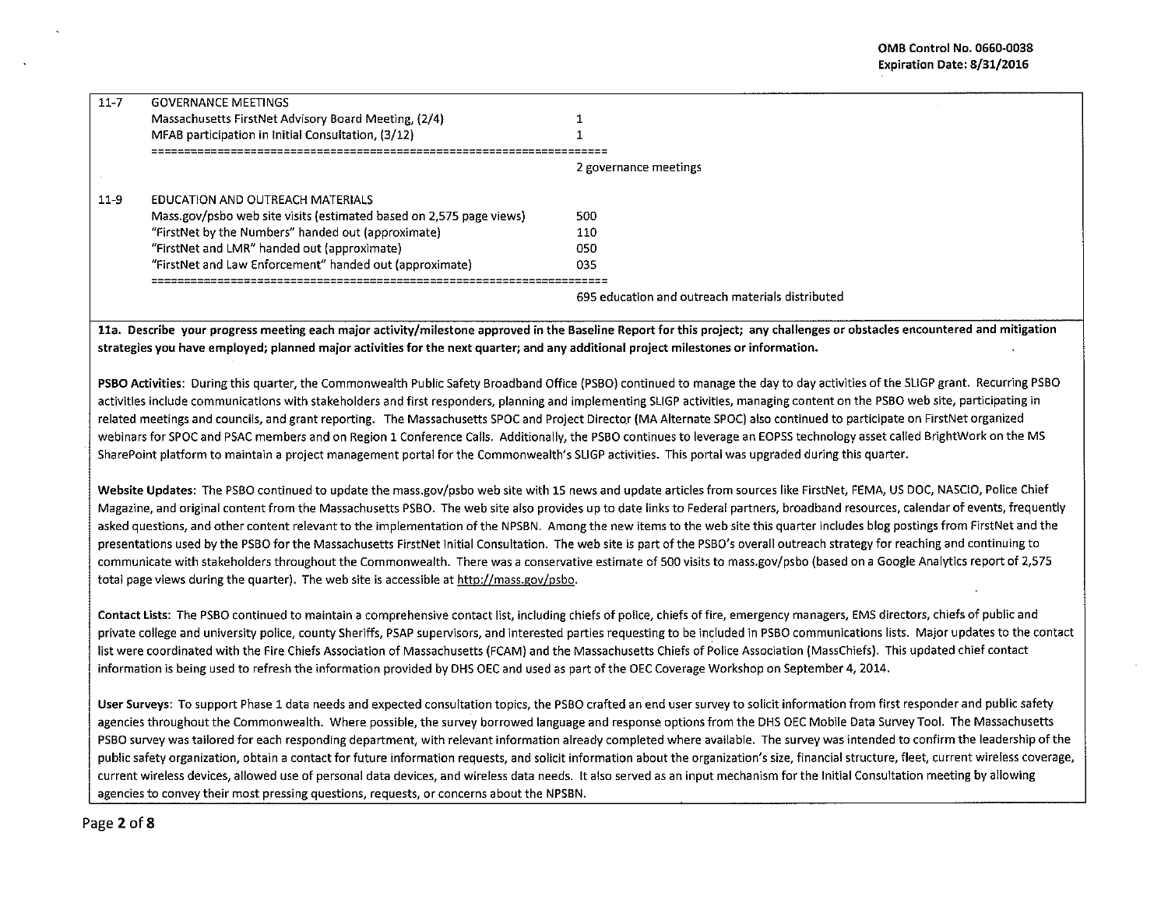| $11 - 7$ | <b>GOVERNANCE MEETINGS</b>                                          |                                                  |
|----------|---------------------------------------------------------------------|--------------------------------------------------|
|          | Massachusetts FirstNet Advisory Board Meeting, (2/4)                |                                                  |
|          | MFAB participation in Initial Consultation, (3/12)                  |                                                  |
|          |                                                                     | 2 governance meetings                            |
| $11-9$   | EDUCATION AND OUTREACH MATERIALS                                    |                                                  |
|          | Mass.gov/psbo web site visits (estimated based on 2,575 page views) | 500                                              |
|          | "FirstNet by the Numbers" handed out (approximate)                  | 110                                              |
|          | "FirstNet and LMR" handed out (approximate)                         | 050                                              |
|          | "FirstNet and Law Enforcement" handed out (approximate)             | 035                                              |
|          |                                                                     | 695 education and outreach materials distributed |

11a. Describe your progress meeting each major activity/milestone approved in the Baseline Report for this project; any challenges or obstacles encountered and mitigation strategies you have employed; planned major activities for the next quarter; and any additional project milestones or information.

PSBO Activities: During this quarter, the Commonwealth Public Safety Broadband Office (PSBO) continued to manage the day to day activities of the SUGP grant. Recurring PSBO activities include communications with stakeholders and first responders, planning and implementing SLIGP activities, managing content on the PSBO web site, participating in related meetings and councils, and grant reporting. The Massachusetts SPOC and Project Director (MA Alternate SPOC) also continued to participate on FirstNet organized webinars for SPOC and PSAC members and on Region 1 Conference Calls. Additionally, the PSBO continues to leverage an EOPSS technology asset called BrightWork on the MS SharePoint platform to maintain a project management portal for the Commonwealth's SUGP activities. This portal was upgraded during this quarter.

Website Updates: The PSBO continued to update the mass.gov/psbo web site with 15 news and update articles from sources like FirstNet, FEMA, US DOC, NASCIO, Police Chief Magazine, and original content from the Massachusetts PSBO. The web site also provides up to date links to Federal partners, broadband resources, calendar of events, frequently asked questions, and other content relevant to the implementation of the NPSBN. Among the new items to the web site this quarter includes blog postings from FirstNet and the presentations used by the PSBO for the Massachusetts FirstNet Initial Consultation. The web site is part of the PSBO's overall outreach strategy for reaching and continuing to communicate with stakeholders throughout the Commonwealth. There was a conservative estimate of 500 visits to mass.gov/psbo (based on a Google Analytics report of 2,575 total page views during the quarter). The web site is accessible at http://mass.gov/psbo.

Contact lists: The PSBO continued to maintain a comprehensive contact list, including chiefs of police, chiefs of fire, emergency managers, EMS directors, chiefs of public and private college and university police, county Sheriffs, PSAP supervisors, and interested parties requesting to be included in PSBO communications lists. Major updates to the contact list were coordinated with the Fire Chiefs Association of Massachusetts (FCAM) and the Massachusetts Chiefs of Police Association (MassChiefs). This updated chief contact information is being used to refresh the information provided by DHS OEC and used as part of the OEC Coverage Workshop on September 4, 2014.

User Surveys: To support Phase 1 data needs and expected consultation topics, the PSBO crafted an end user survey to solicit information from first responder and public safety agencies throughout the Commonwealth. Where possible, the survey borrowed language and response options from the DHS OEC Mobile Data Survey Tool. The Massachusetts PSBO survey was tailored for each responding department, with relevant information already completed where available. The survey was intended to confirm the leadership of the public safety organization, obtain a contact for future information requests, and solicit information about the organization's size, financial structure, fleet, current wireless coverage, current wireless devices, allowed use of personal data devices, and wireless data needs. lt also served as an input mechanism for the Initial Consultation meeting by allowing agencies to convey their most pressing questions, requests, or concerns about the NPSBN.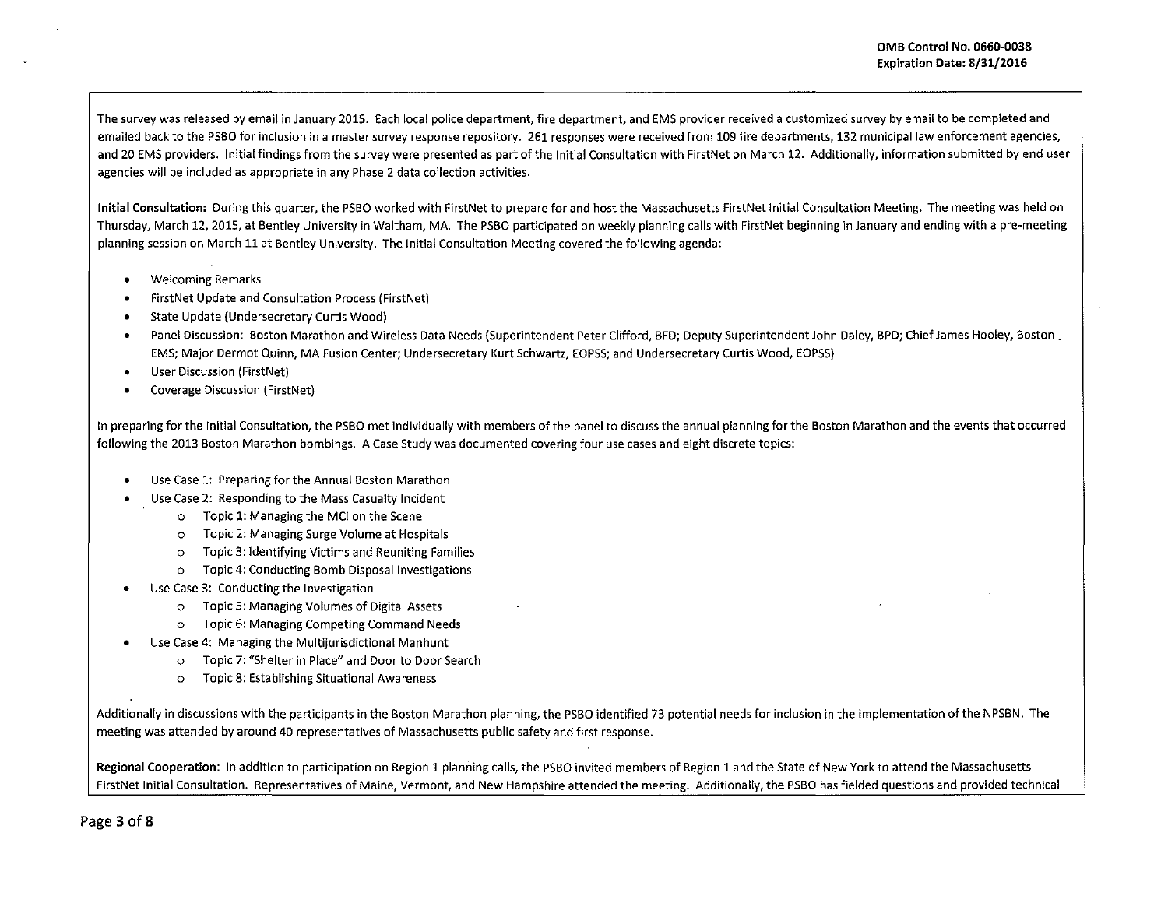The survey was released by email in January 2015. Each local police department, fire department, and EMS provider received a customized survey by email to be completed and emailed back to the PSBO for inclusion in a master survey response repository. 261 responses were received from 109 fire departments, 132 municipal law enforcement agencies, and 20 EMS providers. Initial findings from the survey were presented as part of the Initial Consultation with FirstNet on March 12. Additionally, information submitted by end user agencies will be included as appropriate in any Phase 2 data collection activities.

**Initial Consultation:** During this quarter, the PSBO worked with FirstNet to prepare for and host the Massachusetts FirstNet Initial Consultation Meeting. The meeting was held on Thursday, March 12, 2015, at Bentley University in Waltham, MA. The PSBO participated on weekly planning calls with FirstNet beginning in January and ending with a pre-meeting planning session on March 11 at Bentley University. The Initial Consultation Meeting covered the following agenda:

- Welcoming Remarks
- FirstNet Update and Consultation Process {FirstNet)
- State Update (Undersecretary Curtis Wood)
- Panel Discussion: Boston Marathon and Wireless Data Needs (Superintendent Peter Clifford, BFD; Deputy Superintendent John Daley, BPD; Chief James Hooley, Boston. EMS; Major Dermot Quinn, MA Fusion Center; Undersecretary Kurt Schwartz, EOPSS; and Undersecretary Curtis Wood, EOPSS)
- User Discussion (FirstNet)
- Coverage Discussion {FirstNet)

In preparing for the Initial Consultation, the PSBO met individually with members of the panel to discuss the annual planning for the Boston Marathon and the events that occurred following the 2013 Boston Marathon bombings. A Case Study was documented covering four use cases and eight discrete topics:

- Use Case 1: Preparing for the Annual Boston Marathon
- Use Case 2: Responding to the Mass Casualty Incident
	- o Topic 1: Managing the MCI on the Scene
	- o Topic 2: Managing Surge Volume at Hospitals
	- o Topic 3: Identifying Victims and Reuniting Families
	- o Topic 4: Conducting Bomb Disposal Investigations
- Use Case 3: Conducting the Investigation
	- o Topic 5: Managing Volumes of Digital Assets
	- o Topic 6: Managing Competing Command Needs
- Use Case 4: Managing the Multijurisdictional Manhunt
	- o Topic 7: "Shelter in Place" and Door to Door Search
	- o Topic 8: Establishing Situational Awareness

Additionally in discussions with the participants in the Boston Marathon planning, the PSBO identified 73 potential needs for inclusion in the implementation ofthe NPSBN. The meeting was attended by around 40 representatives of Massachusetts public safety and first response.

**Regional Cooperation:** In addition to participation on Region 1 planning calls, the PSBO invited members of Region 1 and the State of New York to attend the Massachusetts FirstNet Initial Consultation. Representatives of Maine, Vermont, and New Hampshire attended the meeting. Additionally, the PSBO has fielded questions and provided technical

Page 3 of 8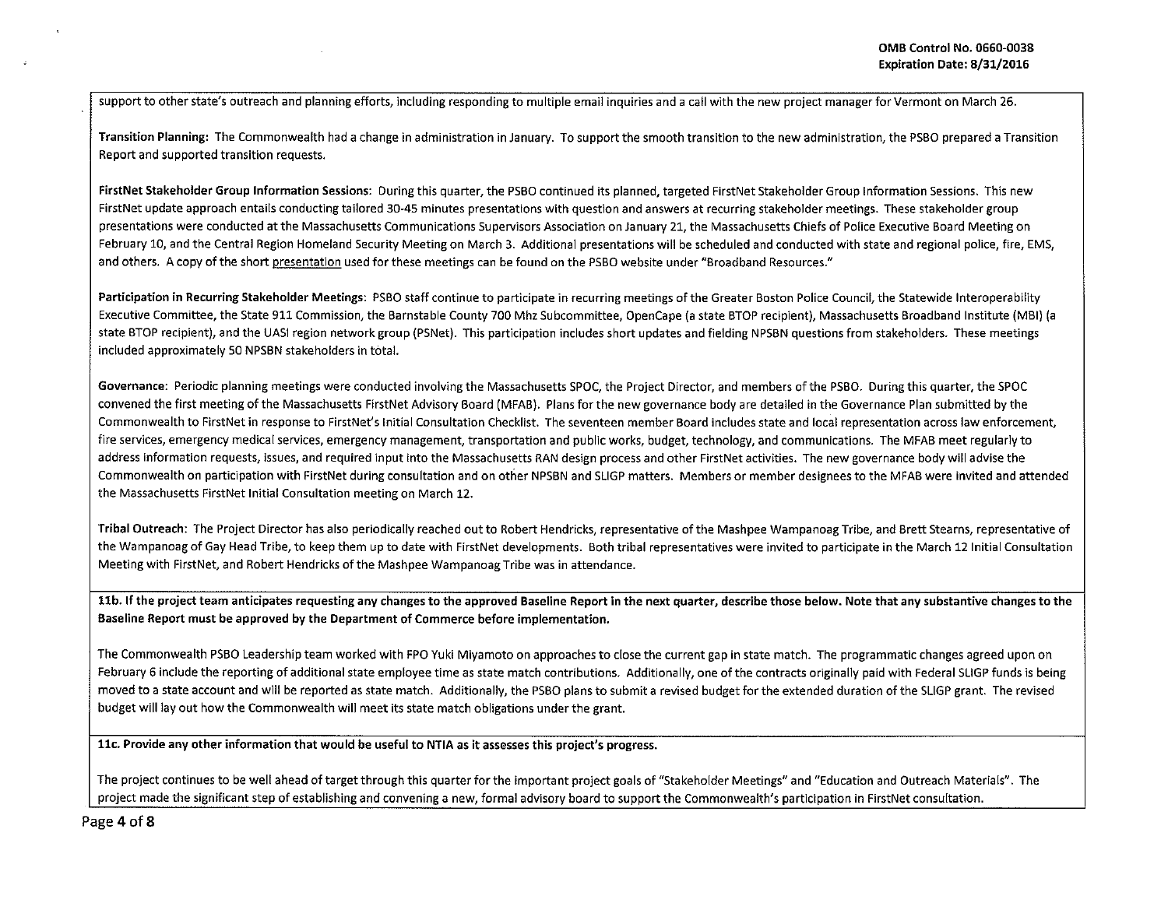support to other state's outreach and planning efforts, including responding to multiple email inquiries and a call with the new project manager for Vermont on March 26.

Transition Planning: The Commonwealth had a change in administration in January. To support the smooth transition to the new administration, the PSBO prepared a Transition Report and supported transition requests.

FirstNet Stakeholder Group Information Sessions: During this quarter, the PSBO continued its planned, targeted FirstNet Stakeholder Group Information Sessions. This new FirstNet update approach entails conducting tailored 30-45 minutes presentations with question and answers at recurring stakeholder meetings. These stakeholder group presentations were conducted at the Massachusetts Communications Supervisors Association on January 21, the Massachusetts Chiefs of Police Executive Board Meeting on February 10, and the Central Region Homeland Security Meeting on March 3. Additional presentations will be scheduled and conducted with state and regional police, fire, EMS, and others. A copy of the short presentation used for these meetings can be found on the PSBO website under "Broadband Resources."

Participation in Recurring Stakeholder Meetings: PSBO staff continue to participate in recurring meetings of the Greater Boston Police Council, the Statewide Interoperability Executive Committee, the State 911 Commission, the Barnstable County 700 Mhz Subcommittee, OpenCape (a state STOP recipient), Massachusetts Broadband Institute (MBI) (a state BTOP recipient), and the UASI region network group (PSNet). This participation includes short updates and fielding NPSBN questions from stakeholders. These meetings included approximately 50 NPSBN stakeholders in total.

Governance: Periodic planning meetings were conducted involving the Massachusetts SPOC, the Project Director, and members of the PSBO. During this quarter, the SPOC convened the first meeting of the Massachusetts FirstNet Advisory Board (MFAB). Plans for the new governance body are detailed in the Governance Plan submitted by the Commonwealth to FirstNet in response to FirstNet's Initial Consultation Checklist. The seventeen member Board includes state and local representation across law enforcement, fire services, emergency medical services, emergency management, transportation and public works, budget, technology, and communications. The MFAB meet regularly to address information requests, issues, and required input into the Massachusetts RAN design process and other FirstNet activities. The new governance body will advise the Commonwealth on participation with FirstNet during consultation and on other NPSBN and SLIGP matters. Members or member designees to the MFAB were invited and attended the Massachusetts FirstNet Initial Consultation meeting on March 12.

Tribal Outreach: The Project Director has also periodically reached out to Robert Hendricks, representative of the Mashpee Wampanoag Tribe, and Brett Stearns, representative of the Wampanoag of Gay Head Tribe, to keep them up to date with FirstNet developments. Both tribal representatives were invited to participate in the March 12 Initial Consultation Meeting with FirstNet, and Robert Hendricks ofthe Mashpee WampanoagTribe was in attendance.

11b. If the project team anticipates requesting any changes to the approved Baseline Report in the next quarter, describe those below. Note that any substantive changes to the Baseline Report must be approved by the Department of Commerce before implementation.

The Commonwealth PSBO Leadership team worked with FPO Yuki Miyamoto on approaches to dose the current gap in state match. The programmatic changes agreed upon on February 6 include the reporting of additional state employee time as state match contributions. Additionally, one of the contracts originally paid with Federal SLIGP funds is being moved to a state account and will be reported as state match. Additionally, the PSBO plans to submit a revised budget for the extended duration of the SLIGP grant. The revised budget will lay out how the Commonwealth will meet its state match obligations under the grant.

llc. Provide any other information that would be useful to NTIA as it assesses this project's progress.

The project continues to be well ahead of target through this quarter for the important project goals of "Stakeholder Meetings" and "Education and Outreach Materials". The project made the significant step of establishing and convening a new, formal advisory board to support the Commonwealth's participation in FirstNet consultation.

Page 4 of 8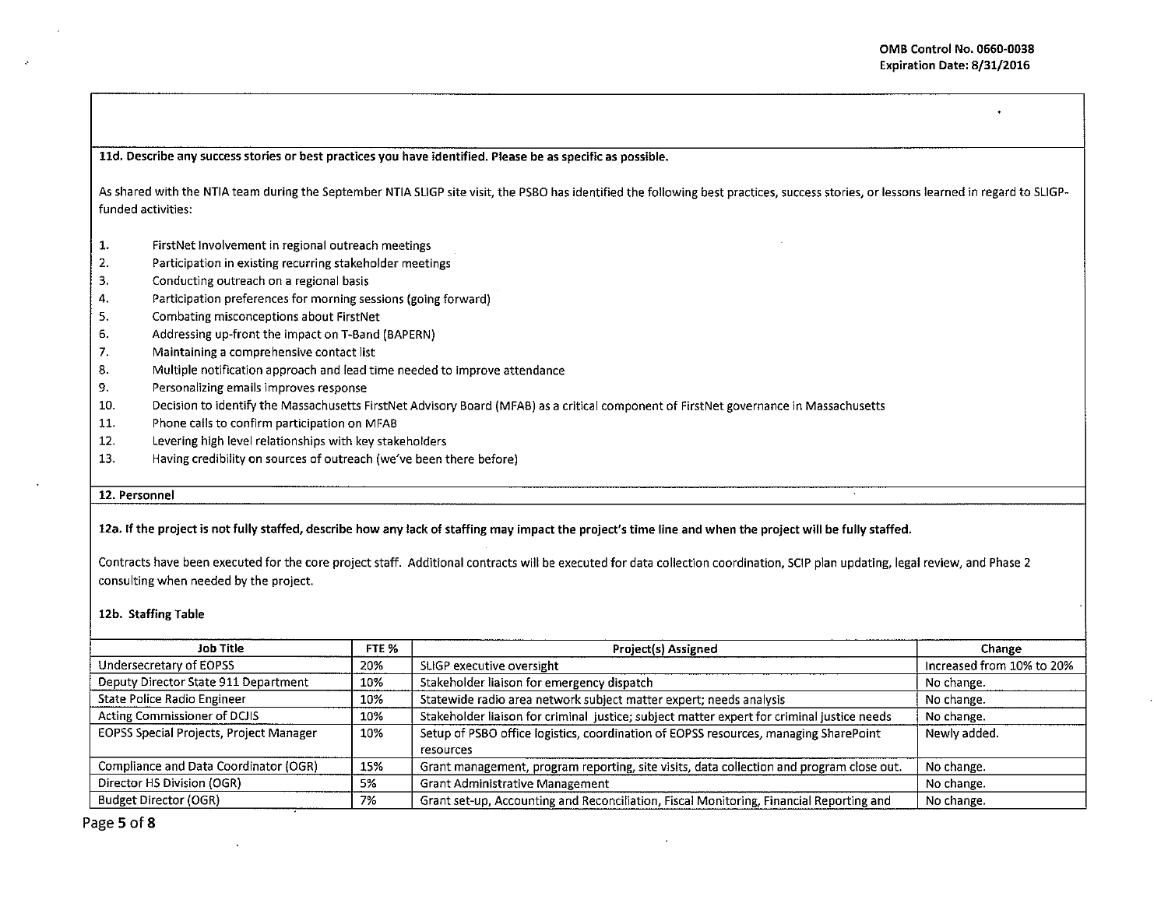lld. Describe any success stories or best practices you have identified. Please be as specific as possible.

As shared with the NTIA team during the September NTIA SLIGP site visit, the PSBO has identified the following best practices, success stories, or lessons learned in regard to SLIGPfunded activities:

- 1. FirstNet Involvement in regional outreach meetings
- 2. Participation in existing recurring stakeholder meetings
- 3. Conducting outreach on a regional basis
- 4. Participation preferences for morning sessions (going forward)
- 5. Combating misconceptions about FirstNet
- 6. Addressing up-front the impact on T-Band (BAPERN)
- 7. Maintaining a comprehensive contact list
- 8. Multiple notification approach and lead time needed to improve attendance
- 9. Personalizing emails improves response
- 10. Decision to identify the Massachusetts FirstNet Advisory Board (MFAB) as a critical component of FirstNet governance in Massachusetts
- 11. Phone calls to confirm participation on MFAB
- 12. Levering high level relationships with key stakeholders
- 13. Having credibility on sources of outreach (we've been there before)

## 12. Personnel

12a. If the project is not fully staffed, describe how any lack of staffing may impact the project's time line and when the project will be fully staffed.

Contracts have been executed for the core project staff. Additional contracts will be executed for data collection coordination, SCIP plan updating, legal review, and Phase 2 consulting when needed by the project.

## 12b. Staffing Table

| Job Title<br>FTE %                             |     | Project(s) Assigned                                                                               | Change                    |  |  |  |  |
|------------------------------------------------|-----|---------------------------------------------------------------------------------------------------|---------------------------|--|--|--|--|
| Undersecretary of EOPSS                        | 20% | SLIGP executive oversight                                                                         | Increased from 10% to 20% |  |  |  |  |
| Deputy Director State 911 Department           | 10% | Stakeholder liaison for emergency dispatch                                                        | No change.                |  |  |  |  |
| State Police Radio Engineer                    | 10% | Statewide radio area network subject matter expert; needs analysis                                | No change.                |  |  |  |  |
| Acting Commissioner of DCJIS                   | 10% | Stakeholder liaison for criminal justice; subject matter expert for criminal justice needs        | No change.                |  |  |  |  |
| <b>EOPSS Special Projects, Project Manager</b> | 10% | Setup of PSBO office logistics, coordination of EOPSS resources, managing SharePoint<br>resources | Newly added.              |  |  |  |  |
| Compliance and Data Coordinator (OGR)          | 15% | Grant management, program reporting, site visits, data collection and program close out.          | No change.                |  |  |  |  |
| Director HS Division (OGR)                     | 5%  | <b>Grant Administrative Management</b>                                                            | No change.                |  |  |  |  |
| <b>Budget Director (OGR)</b>                   | 7%  | Grant set-up, Accounting and Reconciliation, Fiscal Monitoring, Financial Reporting and           | No change.                |  |  |  |  |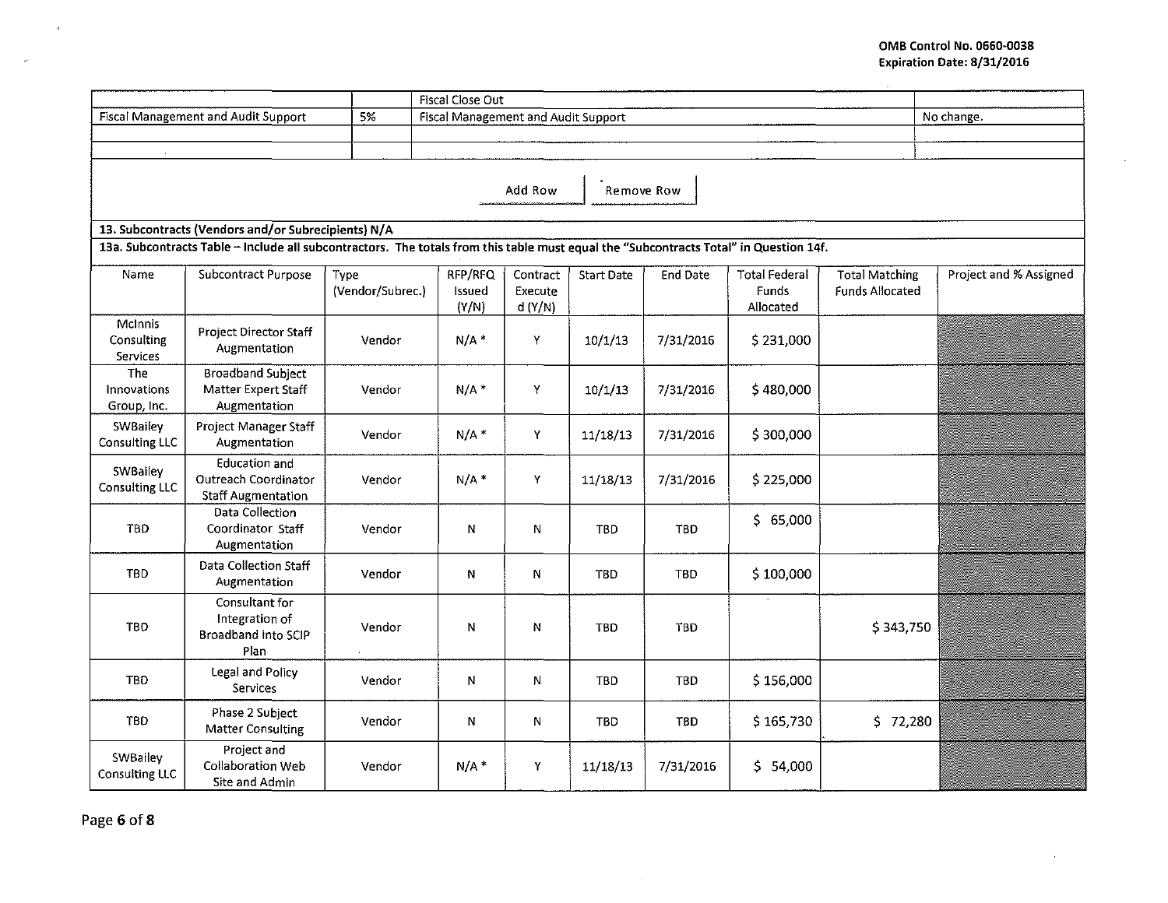$\mathbf{r}$ 

| Fiscal Close Out                                    |                                                                                                                                       |                          |                                     |                               |                   |            |                                            |                                                 |                        |  |  |
|-----------------------------------------------------|---------------------------------------------------------------------------------------------------------------------------------------|--------------------------|-------------------------------------|-------------------------------|-------------------|------------|--------------------------------------------|-------------------------------------------------|------------------------|--|--|
| Fiscal Management and Audit Support<br>5%           |                                                                                                                                       |                          | Fiscal Management and Audit Support | No change.                    |                   |            |                                            |                                                 |                        |  |  |
|                                                     |                                                                                                                                       |                          |                                     |                               |                   |            |                                            |                                                 |                        |  |  |
|                                                     |                                                                                                                                       |                          |                                     |                               |                   |            |                                            |                                                 |                        |  |  |
| Add Row<br>Remove Row                               |                                                                                                                                       |                          |                                     |                               |                   |            |                                            |                                                 |                        |  |  |
| 13. Subcontracts (Vendors and/or Subrecipients) N/A |                                                                                                                                       |                          |                                     |                               |                   |            |                                            |                                                 |                        |  |  |
|                                                     | 13a. Subcontracts Table - Include all subcontractors. The totals from this table must equal the "Subcontracts Total" in Question 14f. |                          |                                     |                               |                   |            |                                            |                                                 |                        |  |  |
| Name                                                | Subcontract Purpose                                                                                                                   | Type<br>(Vendor/Subrec.) | RFP/RFQ<br>Issued<br>(Y/N)          | Contract<br>Execute<br>d(Y/N) | <b>Start Date</b> | End Date   | <b>Total Federal</b><br>Funds<br>Allocated | <b>Total Matching</b><br><b>Funds Allocated</b> | Project and % Assigned |  |  |
| McInnis<br>Consulting<br>Services                   | Project Director Staff<br>Augmentation                                                                                                | Vendor                   | $N/A$ *                             | Y                             | 10/1/13           | 7/31/2016  | \$231,000                                  |                                                 |                        |  |  |
| The<br>Innovations<br>Group, Inc.                   | <b>Broadband Subject</b><br>Matter Expert Staff<br>Augmentation                                                                       | Vendor                   | $N/A$ *                             | Y                             | 10/1/13           | 7/31/2016  | \$480,000                                  |                                                 |                        |  |  |
| <b>SWBailey</b><br>Consulting LLC                   | <b>Project Manager Staff</b><br>Augmentation                                                                                          | Vendor                   | $N/A$ *                             | Y                             | 11/18/13          | 7/31/2016  | \$300,000                                  |                                                 |                        |  |  |
| SWBailey<br>Consulting LLC                          | <b>Education and</b><br>Outreach Coordinator<br><b>Staff Augmentation</b>                                                             | Vendor                   | $N/A$ *                             | Y.                            | 11/18/13          | 7/31/2016  | \$225,000                                  |                                                 |                        |  |  |
| <b>TBD</b>                                          | Data Collection<br>Coordinator Staff<br>Augmentation                                                                                  | Vendor                   | N                                   | N                             | <b>TBD</b>        | <b>TBD</b> | \$65,000                                   |                                                 | a Carl Britain         |  |  |
| <b>TBD</b>                                          | Data Collection Staff<br>Augmentation                                                                                                 | Vendor                   | N                                   | N                             | TBD               | <b>TBD</b> | \$100,000                                  |                                                 |                        |  |  |
| <b>TBD</b>                                          | Consultant for<br>Integration of<br>Broadband into SCIP<br>Plan                                                                       | Vendor                   | N                                   | N                             | <b>TBD</b>        | <b>TBD</b> |                                            | \$343,750                                       |                        |  |  |
| <b>TBD</b>                                          | Legal and Policy<br>Services                                                                                                          | Vendor                   | N                                   | N                             | <b>TBD</b>        | <b>TBD</b> | \$156,000                                  |                                                 |                        |  |  |
| <b>TBD</b>                                          | Phase 2 Subject<br><b>Matter Consulting</b>                                                                                           | Vendor                   | N                                   | N                             | <b>TBD</b>        | TBD        | \$165,730                                  | \$72,280                                        |                        |  |  |
| SWBailey<br><b>Consulting LLC</b>                   | Project and<br>Collaboration Web<br>Site and Admin                                                                                    | Vendor                   | $N/A$ *                             | Y                             | 11/18/13          | 7/31/2016  | \$54,000                                   |                                                 |                        |  |  |

Page 6 of 8

 $\mathbf{x}$ 

 $\mathcal{R}^{\text{c}}$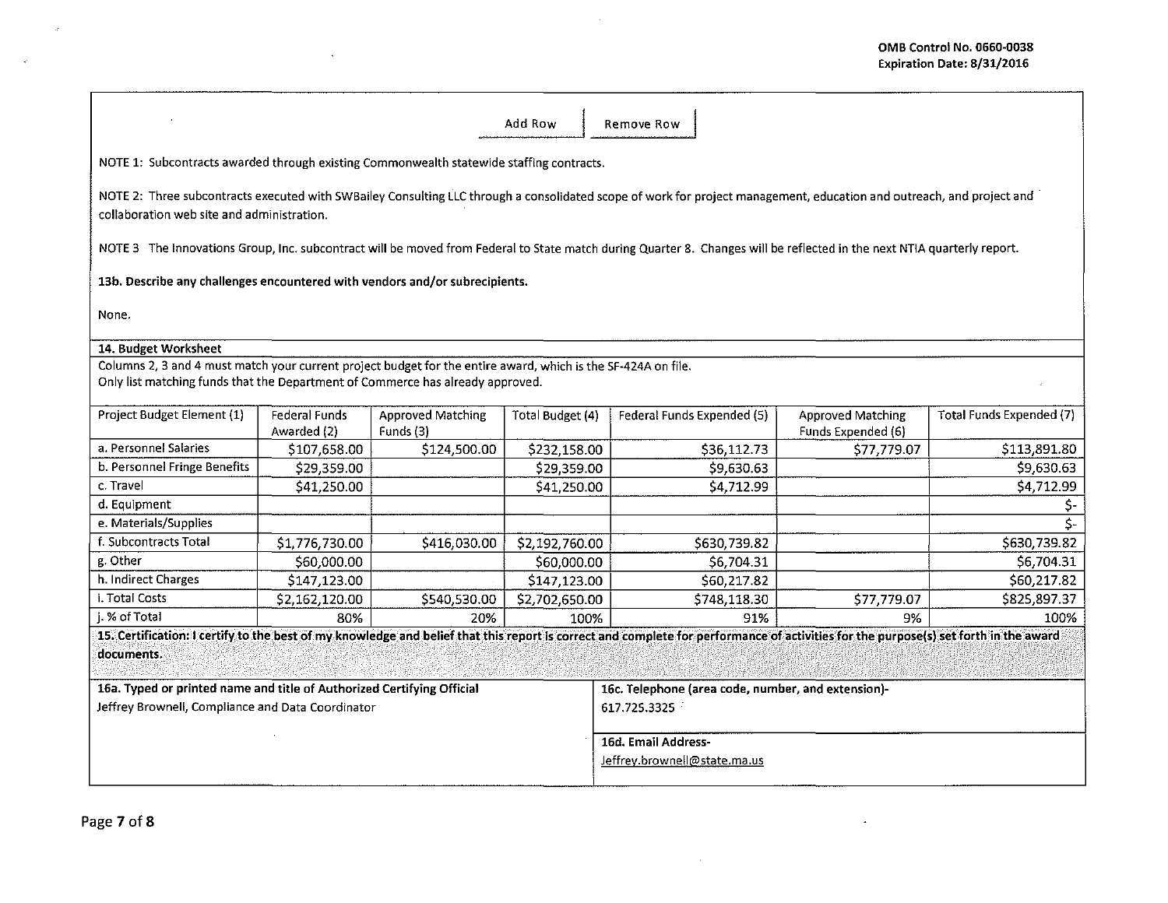$\mathcal{L}^{\text{max}}_{\text{max}}$ 

 $\sim 10^{11}$  km  $^{-1}$ 

|                                                                                                                                                                                                                     |                                     |                                       | Add Row             | Remove Row                                                                                                                                                                           |                                                |                          |  |  |  |  |
|---------------------------------------------------------------------------------------------------------------------------------------------------------------------------------------------------------------------|-------------------------------------|---------------------------------------|---------------------|--------------------------------------------------------------------------------------------------------------------------------------------------------------------------------------|------------------------------------------------|--------------------------|--|--|--|--|
| NOTE 1: Subcontracts awarded through existing Commonwealth statewide staffing contracts.                                                                                                                            |                                     |                                       |                     |                                                                                                                                                                                      |                                                |                          |  |  |  |  |
| NOTE 2: Three subcontracts executed with SWBailey Consulting LLC through a consolidated scope of work for project management, education and outreach, and project and<br>collaboration web site and administration. |                                     |                                       |                     |                                                                                                                                                                                      |                                                |                          |  |  |  |  |
| NOTE 3 The Innovations Group, Inc. subcontract will be moved from Federal to State match during Quarter 8. Changes will be reflected in the next NTIA quarterly report.                                             |                                     |                                       |                     |                                                                                                                                                                                      |                                                |                          |  |  |  |  |
| 13b. Describe any challenges encountered with vendors and/or subrecipients.                                                                                                                                         |                                     |                                       |                     |                                                                                                                                                                                      |                                                |                          |  |  |  |  |
| None.                                                                                                                                                                                                               |                                     |                                       |                     |                                                                                                                                                                                      |                                                |                          |  |  |  |  |
| 14. Budget Worksheet                                                                                                                                                                                                |                                     |                                       |                     |                                                                                                                                                                                      |                                                |                          |  |  |  |  |
|                                                                                                                                                                                                                     |                                     |                                       |                     |                                                                                                                                                                                      |                                                |                          |  |  |  |  |
| Columns 2, 3 and 4 must match your current project budget for the entire award, which is the SF-424A on file.<br>Only list matching funds that the Department of Commerce has already approved.                     |                                     |                                       |                     |                                                                                                                                                                                      |                                                |                          |  |  |  |  |
| Project Budget Element (1)                                                                                                                                                                                          | <b>Federal Funds</b><br>Awarded (2) | <b>Approved Matching</b><br>Funds (3) | Total Budget (4)    | Federal Funds Expended (5)                                                                                                                                                           | <b>Approved Matching</b><br>Funds Expended (6) | Total Funds Expended (7) |  |  |  |  |
| a. Personnel Salaries                                                                                                                                                                                               | \$107,658.00                        | \$124,500.00                          | \$232,158.00        | \$36,112.73                                                                                                                                                                          | \$77,779.07                                    | \$113,891.80             |  |  |  |  |
| b. Personnel Fringe Benefits                                                                                                                                                                                        | \$29,359.00                         |                                       | \$29,359.00         | \$9,630.63                                                                                                                                                                           |                                                | \$9,630.63               |  |  |  |  |
| c. Travel                                                                                                                                                                                                           | \$41,250.00                         |                                       | \$41,250.00         | \$4,712.99                                                                                                                                                                           |                                                | 54,712.99                |  |  |  |  |
| d. Equipment                                                                                                                                                                                                        |                                     |                                       |                     |                                                                                                                                                                                      |                                                | \$-                      |  |  |  |  |
| e. Materials/Supplies                                                                                                                                                                                               |                                     |                                       |                     |                                                                                                                                                                                      |                                                | Ś-                       |  |  |  |  |
| f. Subcontracts Total                                                                                                                                                                                               | \$1,776,730.00                      | \$416,030.00                          | \$2,192,760.00      | \$630,739.82                                                                                                                                                                         |                                                | \$630,739.82             |  |  |  |  |
| g. Other                                                                                                                                                                                                            | \$60,000.00                         |                                       | \$60,000.00         | \$6,704.31                                                                                                                                                                           |                                                | 56,704.31                |  |  |  |  |
| h. Indirect Charges                                                                                                                                                                                                 | \$147,123.00                        |                                       | \$147,123.00        | \$60,217.82                                                                                                                                                                          |                                                | \$60,217.82              |  |  |  |  |
| i. Total Costs                                                                                                                                                                                                      | \$2,162,120.00                      | \$540,530.00                          | \$2,702,650.00      | \$748,118.30                                                                                                                                                                         | \$77,779.07                                    | \$825,897.37             |  |  |  |  |
| j. % of Total                                                                                                                                                                                                       | 80%                                 | 20%                                   | 100%                | 91%                                                                                                                                                                                  | 9%                                             | 100%                     |  |  |  |  |
|                                                                                                                                                                                                                     |                                     |                                       |                     | 15. Certification: I certify to the best of my knowledge and belief that this report is correct and complete for performance of activities for the purpose(s) set forth in the award |                                                |                          |  |  |  |  |
| documents.                                                                                                                                                                                                          |                                     |                                       |                     |                                                                                                                                                                                      |                                                |                          |  |  |  |  |
| 16a. Typed or printed name and title of Authorized Certifying Official                                                                                                                                              |                                     |                                       |                     | 16c. Telephone (area code, number, and extension)-                                                                                                                                   |                                                |                          |  |  |  |  |
| Jeffrey Brownell, Compliance and Data Coordinator                                                                                                                                                                   |                                     |                                       |                     | 617.725.3325                                                                                                                                                                         |                                                |                          |  |  |  |  |
|                                                                                                                                                                                                                     |                                     |                                       | 16d. Email Address- |                                                                                                                                                                                      |                                                |                          |  |  |  |  |
|                                                                                                                                                                                                                     |                                     |                                       |                     | Jeffrey.brownell@state.ma.us                                                                                                                                                         |                                                |                          |  |  |  |  |

 $\mathcal{L}^{\text{max}}_{\text{max}}$ 

 $\mathcal{L}(\mathcal{A})$  and  $\mathcal{L}(\mathcal{A})$  and  $\mathcal{L}(\mathcal{A})$  are  $\mathcal{L}(\mathcal{A})$  .

 $\mathcal{P}^{\mathbb{C}}$ 

 $\langle \hat{z} \rangle$